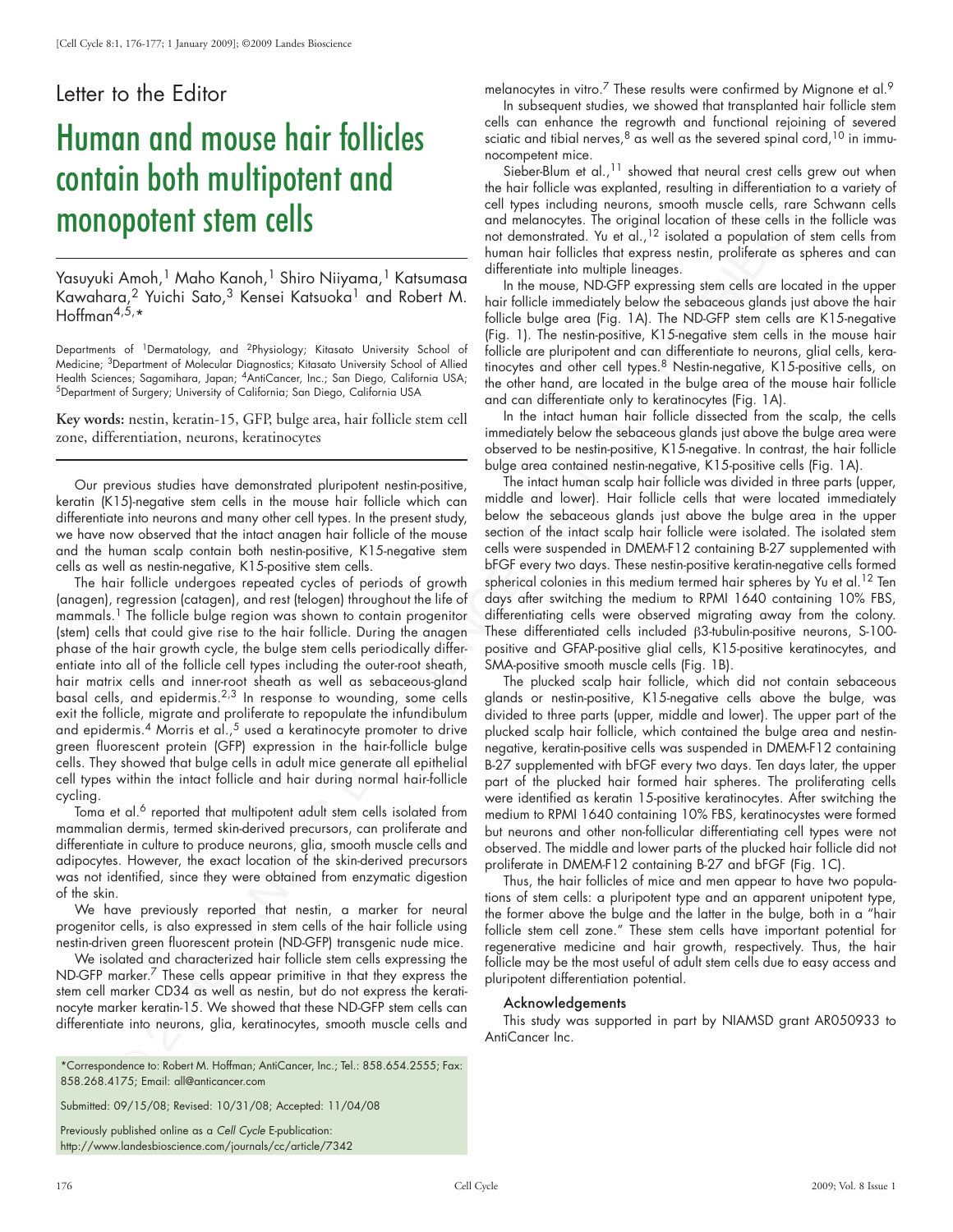## Letter to the Editor

## Human and mouse hair follicles contain both multipotent and monopotent stem cells

Yasuyuki Amoh,<sup>1</sup> Maho Kanoh,<sup>1</sup> Shiro Niiyama,<sup>1</sup> Katsumasa Kawahara,<sup>2</sup> Yuichi Sato,<sup>3</sup> Kensei Katsuoka<sup>1</sup> and Robert M. Hoffman<sup>4,5, $\star$ </sup>

Departments of 1Dermatology, and 2Physiology; Kitasato University School of Medicine; <sup>3</sup>Department of Molecular Diagnostics; Kitasato University School of Allied<br>Health Sciences; Sagamihara, Japan; <sup>4</sup>AntiCancer, Inc.; San Diego, California USA; <sup>5</sup>Department of Surgery; University of California; San Diego, California USA

**Key words:** nestin, keratin-15, GFP, bulge area, hair follicle stem cell zone, differentiation, neurons, keratinocytes

Our previous studies have demonstrated pluripotent nestin-positive, keratin (K15)-negative stem cells in the mouse hair follicle which can differentiate into neurons and many other cell types. In the present study, we have now observed that the intact anagen hair follicle of the mouse and the human scalp contain both nestin-positive, K15-negative stem cells as well as nestin-negative, K15-positive stem cells.

IT DOTT multipotent and<br>  $\mu$  is the stationary interesting in the consideration of the consideration of the stationary interesting interesting interesting in the consideration of the stationary interesting in the station The hair follicle undergoes repeated cycles of periods of growth (anagen), regression (catagen), and rest (telogen) throughout the life of mammals.<sup>1</sup> The follicle bulge region was shown to contain progenitor (stem) cells that could give rise to the hair follicle. During the anagen phase of the hair growth cycle, the bulge stem cells periodically differentiate into all of the follicle cell types including the outer-root sheath, hair matrix cells and inner-root sheath as well as sebaceous-gland basal cells, and epidermis.2,3 In response to wounding, some cells exit the follicle, migrate and proliferate to repopulate the infundibulum and epidermis. $^4$  Morris et al., $^5$  used a keratinocyte promoter to drive green fluorescent protein (GFP) expression in the hair-follicle bulge cells. They showed that bulge cells in adult mice generate all epithelial cell types within the intact follicle and hair during normal hair-follicle cycling.

Toma et al.<sup>6</sup> reported that multipotent adult stem cells isolated from mammalian dermis, termed skin-derived precursors, can proliferate and differentiate in culture to produce neurons, glia, smooth muscle cells and adipocytes. However, the exact location of the skin-derived precursors was not identified, since they were obtained from enzymatic digestion of the skin.

We have previously reported that nestin, a marker for neural progenitor cells, is also expressed in stem cells of the hair follicle using nestin-driven green fluorescent protein (ND-GFP) transgenic nude mice.

We isolated and characterized hair follicle stem cells expressing the ND-GFP marker.<sup>7</sup> These cells appear primitive in that they express the stem cell marker CD34 as well as nestin, but do not express the keratinocyte marker keratin-15. We showed that these ND-GFP stem cells can differentiate into neurons, glia, keratinocytes, smooth muscle cells and

\*Correspondence to: Robert M. Hoffman; AntiCancer, Inc.; Tel.: 858.654.2555; Fax: 858.268.4175; Email: all@anticancer.com

Submitted: 09/15/08; Revised: 10/31/08; Accepted: 11/04/08

Previously published online as a *Cell Cycle* E-publication: http://www.landesbioscience.com/journals/cc/article/7342 melanocytes in vitro.<sup>7</sup> These results were confirmed by Mignone et al.<sup>9</sup>

In subsequent studies, we showed that transplanted hair follicle stem cells can enhance the regrowth and functional rejoining of severed sciatic and tibial nerves,  $8 \text{ as well as the several spinal cord},\frac{10}{10} \text{ in immu-}$ nocompetent mice.

Sieber-Blum et al.,<sup>11</sup> showed that neural crest cells grew out when the hair follicle was explanted, resulting in differentiation to a variety of cell types including neurons, smooth muscle cells, rare Schwann cells and melanocytes. The original location of these cells in the follicle was not demonstrated. Yu et al.,12 isolated a population of stem cells from human hair follicles that express nestin, proliferate as spheres and can differentiate into multiple lineages.

In the mouse, ND-GFP expressing stem cells are located in the upper hair follicle immediately below the sebaceous glands just above the hair follicle bulge area (Fig. 1A). The ND-GFP stem cells are K15-negative (Fig. 1). The nestin-positive, K15-negative stem cells in the mouse hair follicle are pluripotent and can differentiate to neurons, glial cells, keratinocytes and other cell types.8 Nestin-negative, K15-positive cells, on the other hand, are located in the bulge area of the mouse hair follicle and can differentiate only to keratinocytes (Fig. 1A).

In the intact human hair follicle dissected from the scalp, the cells immediately below the sebaceous glands just above the bulge area were observed to be nestin-positive, K15-negative. In contrast, the hair follicle bulge area contained nestin-negative, K15-positive cells (Fig. 1A).

The intact human scalp hair follicle was divided in three parts (upper, middle and lower). Hair follicle cells that were located immediately below the sebaceous glands just above the bulge area in the upper section of the intact scalp hair follicle were isolated. The isolated stem cells were suspended in DMEM-F12 containing B-27 supplemented with bFGF every two days. These nestin-positive keratin-negative cells formed spherical colonies in this medium termed hair spheres by Yu et al.<sup>12</sup> Ten days after switching the medium to RPMI 1640 containing 10% FBS, differentiating cells were observed migrating away from the colony. These differentiated cells included β3-tubulin-positive neurons, S-100 positive and GFAP-positive glial cells, K15-positive keratinocytes, and SMA-positive smooth muscle cells (Fig. 1B).

The plucked scalp hair follicle, which did not contain sebaceous glands or nestin-positive, K15-negative cells above the bulge, was divided to three parts (upper, middle and lower). The upper part of the plucked scalp hair follicle, which contained the bulge area and nestinnegative, keratin-positive cells was suspended in DMEM-F12 containing B-27 supplemented with bFGF every two days. Ten days later, the upper part of the plucked hair formed hair spheres. The proliferating cells were identified as keratin 15-positive keratinocytes. After switching the medium to RPMI 1640 containing 10% FBS, keratinocystes were formed but neurons and other non-follicular differentiating cell types were not observed. The middle and lower parts of the plucked hair follicle did not proliferate in DMEM-F12 containing B-27 and bFGF (Fig. 1C).

Thus, the hair follicles of mice and men appear to have two populations of stem cells: a pluripotent type and an apparent unipotent type, the former above the bulge and the latter in the bulge, both in a "hair follicle stem cell zone." These stem cells have important potential for regenerative medicine and hair growth, respectively. Thus, the hair follicle may be the most useful of adult stem cells due to easy access and pluripotent differentiation potential.

## Acknowledgements

This study was supported in part by NIAMSD grant AR050933 to AntiCancer Inc.